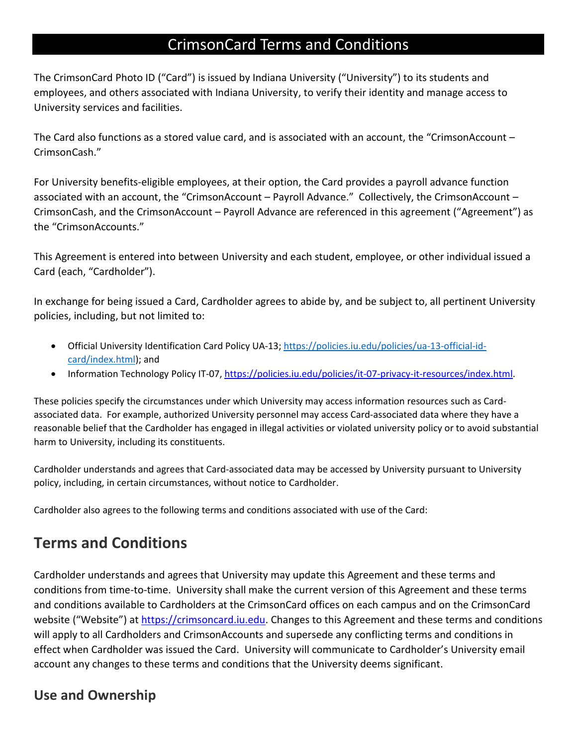# CrimsonCard Terms and Conditions

The CrimsonCard Photo ID ("Card") is issued by Indiana University ("University") to its students and employees, and others associated with Indiana University, to verify their identity and manage access to University services and facilities.

The Card also functions as a stored value card, and is associated with an account, the "CrimsonAccount – CrimsonCash."

For University benefits-eligible employees, at their option, the Card provides a payroll advance function associated with an account, the "CrimsonAccount – Payroll Advance." Collectively, the CrimsonAccount – CrimsonCash, and the CrimsonAccount – Payroll Advance are referenced in this agreement ("Agreement") as the "CrimsonAccounts."

This Agreement is entered into between University and each student, employee, or other individual issued a Card (each, "Cardholder").

In exchange for being issued a Card, Cardholder agrees to abide by, and be subject to, all pertinent University policies, including, but not limited to:

- Official University Identification Card Policy UA-13; [https://policies.iu.edu/policies/ua-13-official-id](https://policies.iu.edu/policies/ua-13-official-id-card/index.html)[card/index.html\)](https://policies.iu.edu/policies/ua-13-official-id-card/index.html); and
- Information Technology Policy IT-07, [https://policies.iu.edu/policies/it-07-privacy-it-resources/index.html.](https://policies.iu.edu/policies/it-07-privacy-it-resources/index.html)

These policies specify the circumstances under which University may access information resources such as Cardassociated data. For example, authorized University personnel may access Card-associated data where they have a reasonable belief that the Cardholder has engaged in illegal activities or violated university policy or to avoid substantial harm to University, including its constituents.

Cardholder understands and agrees that Card-associated data may be accessed by University pursuant to University policy, including, in certain circumstances, without notice to Cardholder.

Cardholder also agrees to the following terms and conditions associated with use of the Card:

# **Terms and Conditions**

Cardholder understands and agrees that University may update this Agreement and these terms and conditions from time-to-time. University shall make the current version of this Agreement and these terms and conditions available to Cardholders at the CrimsonCard offices on each campus and on the CrimsonCard website ("Website") at [https://crimsoncard.iu.edu.](https://crimsoncard.iu.edu/) Changes to this Agreement and these terms and conditions will apply to all Cardholders and CrimsonAccounts and supersede any conflicting terms and conditions in effect when Cardholder was issued the Card. University will communicate to Cardholder's University email account any changes to these terms and conditions that the University deems significant.

#### **Use and Ownership**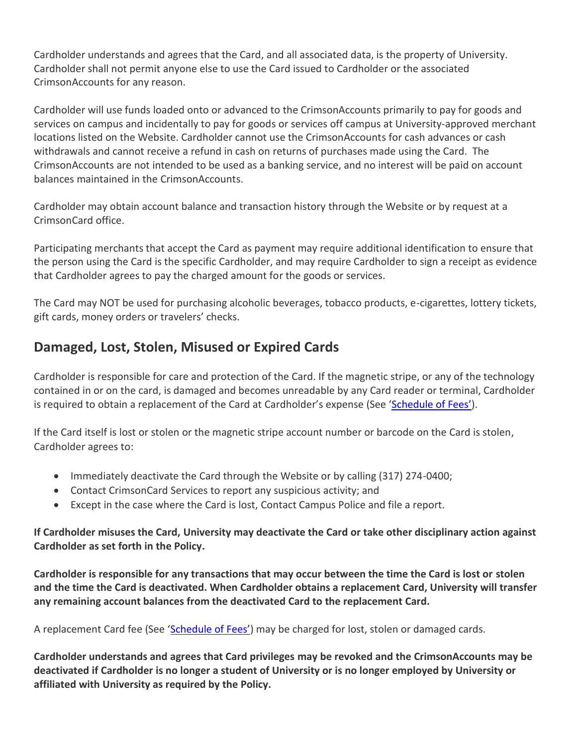Cardholder understands and agrees that the Card, and all associated data, is the property of University. Cardholder shall not permit anyone else to use the Card issued to Cardholder or the associated CrimsonAccounts for any reason.

Cardholder will use funds loaded onto or advanced to the CrimsonAccounts primarily to pay for goods and services on campus and incidentally to pay for goods or services off campus at University-approved merchant locations listed on the Website. Cardholder cannot use the CrimsonAccounts for cash advances or cash withdrawals and cannot receive a refund in cash on returns of purchases made using the Card. The CrimsonAccounts are not intended to be used as a banking service, and no interest will be paid on account balances maintained in the CrimsonAccounts.

Cardholder may obtain account balance and transaction history through the Website or by request at a CrimsonCard office.

Participating merchants that accept the Card as payment may require additional identification to ensure that the person using the Card is the specific Cardholder, and may require Cardholder to sign a receipt as evidence that Cardholder agrees to pay the charged amount for the goods or services.

The Card may NOT be used for purchasing alcoholic beverages, tobacco products, e-cigarettes, lottery tickets, gift cards, money orders or travelers' checks.

## **Damaged, Lost, Stolen, Misused or Expired Cards**

Cardholder is responsible for care and protection of the Card. If the magnetic stripe, or any of the technology contained in or on the card, is damaged and becomes unreadable by any Card reader or terminal, Cardholder is required to obtain a replacement of the Card at Cardholder's expense (See ['Schedule of Fees'](https://crimsoncard.iu.edu/about/fee-schedule.html)).

If the Card itself is lost or stolen or the magnetic stripe account number or barcode on the Card is stolen, Cardholder agrees to:

- Immediately deactivate the Card through the Website or by calling (317) 274-0400;
- Contact CrimsonCard Services to report any suspicious activity; and
- Except in the case where the Card is lost, Contact Campus Police and file a report.

#### **If Cardholder misuses the Card, University may deactivate the Card or take other disciplinary action against Cardholder as set forth in the Policy.**

**Cardholder is responsible for any transactions that may occur between the time the Card is lost or stolen and the time the Card is deactivated. When Cardholder obtains a replacement Card, University will transfer any remaining account balances from the deactivated Card to the replacement Card.**

A replacement Card fee (See ['Schedule of Fees'](https://crimsoncard.iu.edu/about/fee-schedule.html)) may be charged for lost, stolen or damaged cards.

**Cardholder understands and agrees that Card privileges may be revoked and the CrimsonAccounts may be deactivated if Cardholder is no longer a student of University or is no longer employed by University or affiliated with University as required by the Policy.**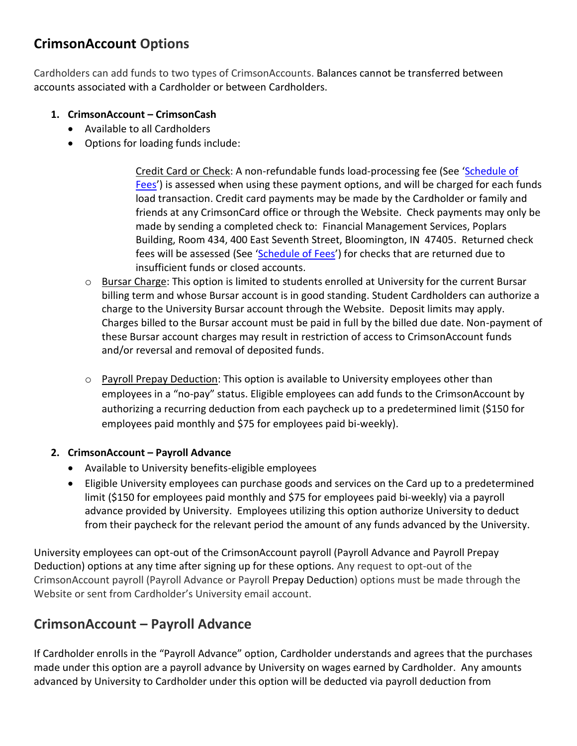## **CrimsonAccount Options**

Cardholders can add funds to two types of CrimsonAccounts. Balances cannot be transferred between accounts associated with a Cardholder or between Cardholders.

- **1. CrimsonAccount – CrimsonCash**
	- Available to all Cardholders
	- Options for loading funds include:

Credit Card or Check: A non-refundable funds load-processing fee (See '[Schedule of](https://crimsoncard.iu.edu/about/fee-schedule.html)  [Fees](https://crimsoncard.iu.edu/about/fee-schedule.html)') is assessed when using these payment options, and will be charged for each funds load transaction. Credit card payments may be made by the Cardholder or family and friends at any CrimsonCard office or through the Website. Check payments may only be made by sending a completed check to: Financial Management Services, Poplars Building, Room 434, 400 East Seventh Street, Bloomington, IN 47405. Returned check fees will be assessed (See '[Schedule of Fees](https://crimsoncard.iu.edu/about/fee-schedule.html)') for checks that are returned due to insufficient funds or closed accounts.

- $\circ$  Bursar Charge: This option is limited to students enrolled at University for the current Bursar billing term and whose Bursar account is in good standing. Student Cardholders can authorize a charge to the University Bursar account through the Website. Deposit limits may apply. Charges billed to the Bursar account must be paid in full by the billed due date. Non-payment of these Bursar account charges may result in restriction of access to CrimsonAccount funds and/or reversal and removal of deposited funds.
- $\circ$  Payroll Prepay Deduction: This option is available to University employees other than employees in a "no-pay" status. Eligible employees can add funds to the CrimsonAccount by authorizing a recurring deduction from each paycheck up to a predetermined limit (\$150 for employees paid monthly and \$75 for employees paid bi-weekly).

#### **2. CrimsonAccount – Payroll Advance**

- Available to University benefits-eligible employees
- Eligible University employees can purchase goods and services on the Card up to a predetermined limit (\$150 for employees paid monthly and \$75 for employees paid bi-weekly) via a payroll advance provided by University. Employees utilizing this option authorize University to deduct from their paycheck for the relevant period the amount of any funds advanced by the University.

University employees can opt-out of the CrimsonAccount payroll (Payroll Advance and Payroll Prepay Deduction) options at any time after signing up for these options. Any request to opt-out of the CrimsonAccount payroll (Payroll Advance or Payroll Prepay Deduction) options must be made through the Website or sent from Cardholder's University email account.

#### **CrimsonAccount – Payroll Advance**

If Cardholder enrolls in the "Payroll Advance" option, Cardholder understands and agrees that the purchases made under this option are a payroll advance by University on wages earned by Cardholder. Any amounts advanced by University to Cardholder under this option will be deducted via payroll deduction from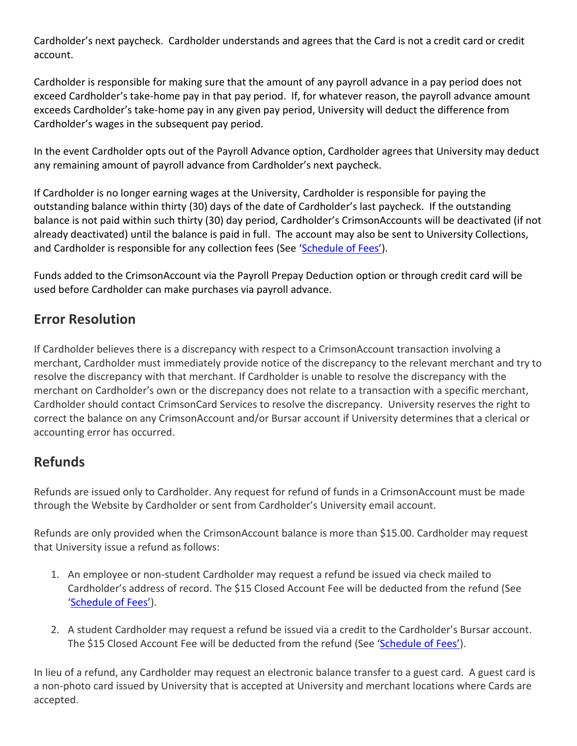Cardholder's next paycheck. Cardholder understands and agrees that the Card is not a credit card or credit account.

Cardholder is responsible for making sure that the amount of any payroll advance in a pay period does not exceed Cardholder's take-home pay in that pay period. If, for whatever reason, the payroll advance amount exceeds Cardholder's take-home pay in any given pay period, University will deduct the difference from Cardholder's wages in the subsequent pay period.

In the event Cardholder opts out of the Payroll Advance option, Cardholder agrees that University may deduct any remaining amount of payroll advance from Cardholder's next paycheck.

If Cardholder is no longer earning wages at the University, Cardholder is responsible for paying the outstanding balance within thirty (30) days of the date of Cardholder's last paycheck. If the outstanding balance is not paid within such thirty (30) day period, Cardholder's CrimsonAccounts will be deactivated (if not already deactivated) until the balance is paid in full. The account may also be sent to University Collections, and Cardholder is responsible for any collection fees (See ['Schedule of Fees'](https://crimsoncard.iu.edu/about/fee-schedule.html)).

Funds added to the CrimsonAccount via the Payroll Prepay Deduction option or through credit card will be used before Cardholder can make purchases via payroll advance.

#### **Error Resolution**

If Cardholder believes there is a discrepancy with respect to a CrimsonAccount transaction involving a merchant, Cardholder must immediately provide notice of the discrepancy to the relevant merchant and try to resolve the discrepancy with that merchant. If Cardholder is unable to resolve the discrepancy with the merchant on Cardholder's own or the discrepancy does not relate to a transaction with a specific merchant, Cardholder should contact CrimsonCard Services to resolve the discrepancy. University reserves the right to correct the balance on any CrimsonAccount and/or Bursar account if University determines that a clerical or accounting error has occurred.

#### **Refunds**

Refunds are issued only to Cardholder. Any request for refund of funds in a CrimsonAccount must be made through the Website by Cardholder or sent from Cardholder's University email account.

Refunds are only provided when the CrimsonAccount balance is more than \$15.00. Cardholder may request that University issue a refund as follows:

- 1. An employee or non-student Cardholder may request a refund be issued via check mailed to Cardholder's address of record. The \$15 Closed Account Fee will be deducted from the refund (See ['Schedule of Fees'](https://crimsoncard.iu.edu/about/fee-schedule.html)).
- 2. A student Cardholder may request a refund be issued via a credit to the Cardholder's Bursar account. The \$15 Closed Account Fee will be deducted from the refund (See ['Schedule of Fees'](https://crimsoncard.iu.edu/about/fee-schedule.html)).

In lieu of a refund, any Cardholder may request an electronic balance transfer to a guest card. A guest card is a non-photo card issued by University that is accepted at University and merchant locations where Cards are accepted.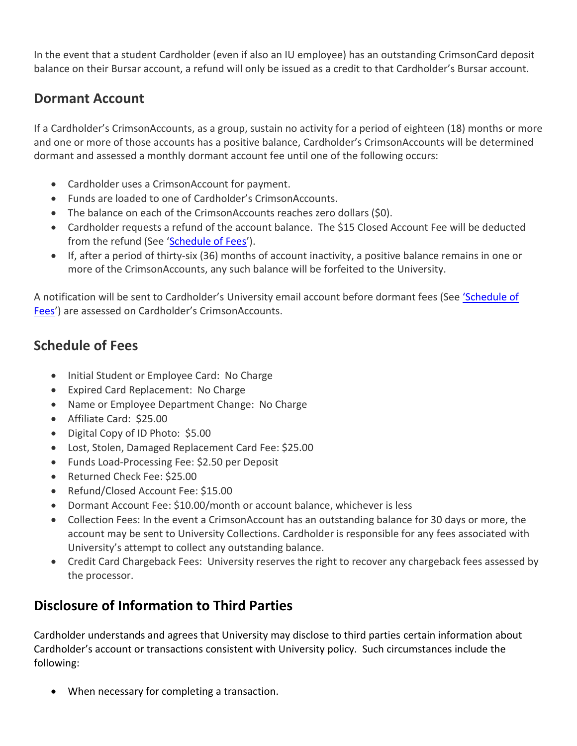In the event that a student Cardholder (even if also an IU employee) has an outstanding CrimsonCard deposit balance on their Bursar account, a refund will only be issued as a credit to that Cardholder's Bursar account.

#### **Dormant Account**

If a Cardholder's CrimsonAccounts, as a group, sustain no activity for a period of eighteen (18) months or more and one or more of those accounts has a positive balance, Cardholder's CrimsonAccounts will be determined dormant and assessed a monthly dormant account fee until one of the following occurs:

- Cardholder uses a CrimsonAccount for payment.
- Funds are loaded to one of Cardholder's CrimsonAccounts.
- The balance on each of the CrimsonAccounts reaches zero dollars (\$0).
- Cardholder requests a refund of the account balance. The \$15 Closed Account Fee will be deducted from the refund (See '[Schedule of Fees](https://crimsoncard.iu.edu/about/fee-schedule.html)').
- If, after a period of thirty-six (36) months of account inactivity, a positive balance remains in one or more of the CrimsonAccounts, any such balance will be forfeited to the University.

A notification will be sent to Cardholder's University email account before dormant fees (See ['Schedule of](https://crimsoncard.iu.edu/about/fee-schedule.html)  [Fees](https://crimsoncard.iu.edu/about/fee-schedule.html)') are assessed on Cardholder's CrimsonAccounts.

#### **Schedule of Fees**

- Initial Student or Employee Card: No Charge
- Expired Card Replacement: No Charge
- Name or Employee Department Change: No Charge
- Affiliate Card: \$25.00
- Digital Copy of ID Photo: \$5.00
- Lost, Stolen, Damaged Replacement Card Fee: \$25.00
- Funds Load-Processing Fee: \$2.50 per Deposit
- Returned Check Fee: \$25.00
- Refund/Closed Account Fee: \$15.00
- Dormant Account Fee: \$10.00/month or account balance, whichever is less
- Collection Fees: In the event a CrimsonAccount has an outstanding balance for 30 days or more, the account may be sent to University Collections. Cardholder is responsible for any fees associated with University's attempt to collect any outstanding balance.
- Credit Card Chargeback Fees: University reserves the right to recover any chargeback fees assessed by the processor.

#### **Disclosure of Information to Third Parties**

Cardholder understands and agrees that University may disclose to third parties certain information about Cardholder's account or transactions consistent with University policy. Such circumstances include the following:

• When necessary for completing a transaction.